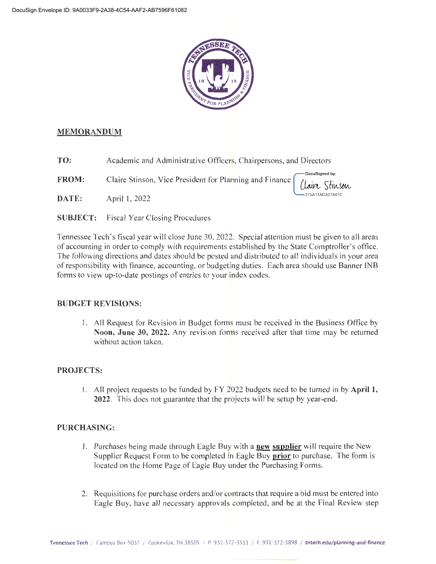

#### **MEMORANDUM**

**TO:** Academic and Administrative Officers, Chairpersons, and Directors

**FROM:** Claire Stinson, Vice President for Planning and Finance

**DATE:** April I, 2022

**SUBJECT:** Fiscal Year Closing Procedures

Tennessee Tech 's fiscal year will close June 30, 2022. Special attention must be given to all areas of accounting in order to comply with requirements established by the State Comptroller's office. The following directions and dates should be posted and distributed to all individuals in your area of responsibility with finance, accounting, or budgeting duties. Each area should use Banner INB forms to view up-to-date postings of entries to your index codes.

#### **BUDGET REVISIONS:**

I. All Request for Revision in Budget forms must be received in the Business Office by **Noon, June 30, 2022.** Any revision forms received after that time may be returned without action taken.

#### **PROJECTS:**

1. All project requests to be funded by FY 2022 budgets need to be turned in by **April 1, 2022.** This does not guarantee that the projects will be setup by year-end.

#### **PURCHASING:**

- 1. Purchases being made through Eagle Buy with a **new supplier** will require the New Supplier Request Form to be completed in Eagle Buy **prior** to purchase. The form is located on the Home Page of Eagle Buy under the Purchasing Forms.
- 2. Requisitions for purchase orders and/or contracts that require a bid must be entered into Eagle Buy, have all necessary approvals completed, and be at the Final Review step

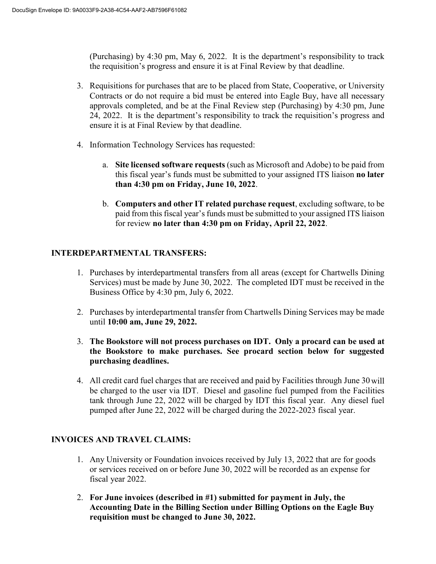(Purchasing) by 4:30 pm, May 6, 2022. It is the department's responsibility to track the requisition's progress and ensure it is at Final Review by that deadline.

- 3. Requisitions for purchases that are to be placed from State, Cooperative, or University Contracts or do not require a bid must be entered into Eagle Buy, have all necessary approvals completed, and be at the Final Review step (Purchasing) by 4:30 pm, June 24, 2022. It is the department's responsibility to track the requisition's progress and ensure it is at Final Review by that deadline.
- 4. Information Technology Services has requested:
	- a. **Site licensed software requests** (such as Microsoft and Adobe) to be paid from this fiscal year's funds must be submitted to your assigned ITS liaison **no later than 4:30 pm on Friday, June 10, 2022**.
	- b. **Computers and other IT related purchase request**, excluding software, to be paid from this fiscal year's funds must be submitted to your assigned ITS liaison for review **no later than 4:30 pm on Friday, April 22, 2022**.

# **INTERDEPARTMENTAL TRANSFERS:**

- 1. Purchases by interdepartmental transfers from all areas (except for Chartwells Dining Services) must be made by June 30, 2022. The completed IDT must be received in the Business Office by 4:30 pm, July 6, 2022.
- 2. Purchases by interdepartmental transfer from Chartwells Dining Services may be made until **10:00 am, June 29, 2022.**
- 3. **The Bookstore will not process purchases on IDT. Only a procard can be used at the Bookstore to make purchases. See procard section below for suggested purchasing deadlines.**
- 4. All credit card fuel charges that are received and paid by Facilities through June 30will be charged to the user via IDT. Diesel and gasoline fuel pumped from the Facilities tank through June 22, 2022 will be charged by IDT this fiscal year. Any diesel fuel pumped after June 22, 2022 will be charged during the 2022-2023 fiscal year.

# **INVOICES AND TRAVEL CLAIMS:**

- 1. Any University or Foundation invoices received by July 13, 2022 that are for goods or services received on or before June 30, 2022 will be recorded as an expense for fiscal year 2022.
- 2. **For June invoices (described in #1) submitted for payment in July, the Accounting Date in the Billing Section under Billing Options on the Eagle Buy requisition must be changed to June 30, 2022.**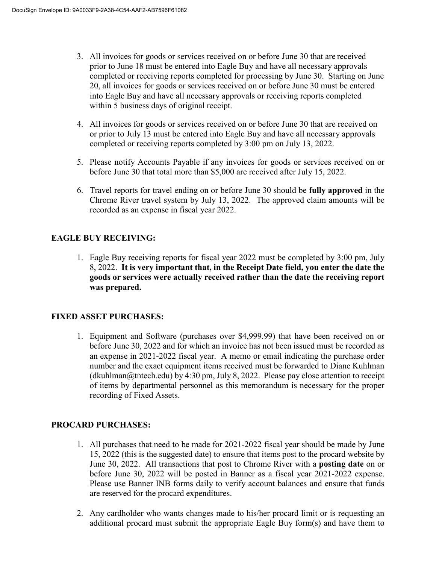- 3. All invoices for goods or services received on or before June 30 that are received prior to June 18 must be entered into Eagle Buy and have all necessary approvals completed or receiving reports completed for processing by June 30. Starting on June 20, all invoices for goods or services received on or before June 30 must be entered into Eagle Buy and have all necessary approvals or receiving reports completed within 5 business days of original receipt.
- 4. All invoices for goods or services received on or before June 30 that are received on or prior to July 13 must be entered into Eagle Buy and have all necessary approvals completed or receiving reports completed by 3:00 pm on July 13, 2022.
- 5. Please notify Accounts Payable if any invoices for goods or services received on or before June 30 that total more than \$5,000 are received after July 15, 2022.
- 6. Travel reports for travel ending on or before June 30 should be **fully approved** in the Chrome River travel system by July 13, 2022. The approved claim amounts will be recorded as an expense in fiscal year 2022.

# **EAGLE BUY RECEIVING:**

1. Eagle Buy receiving reports for fiscal year 2022 must be completed by 3:00 pm, July 8, 2022. **It is very important that, in the Receipt Date field, you enter the date the goods or services were actually received rather than the date the receiving report was prepared.** 

# **FIXED ASSET PURCHASES:**

1. Equipment and Software (purchases over \$4,999.99) that have been received on or before June 30, 2022 and for which an invoice has not been issued must be recorded as an expense in 2021-2022 fiscal year. A memo or email indicating the purchase order number and the exact equipment items received must be forwarded to Diane Kuhlman  $(dkuhlman@tntech.edu) by 4:30 pm, July 8, 2022. Please pay close attention to receipt$ of items by departmental personnel as this memorandum is necessary for the proper recording of Fixed Assets.

# **PROCARD PURCHASES:**

- 1. All purchases that need to be made for 2021-2022 fiscal year should be made by June 15, 2022 (this is the suggested date) to ensure that items post to the procard website by June 30, 2022. All transactions that post to Chrome River with a **posting date** on or before June 30, 2022 will be posted in Banner as a fiscal year 2021-2022 expense. Please use Banner INB forms daily to verify account balances and ensure that funds are reserved for the procard expenditures.
- 2. Any cardholder who wants changes made to his/her procard limit or is requesting an additional procard must submit the appropriate Eagle Buy form(s) and have them to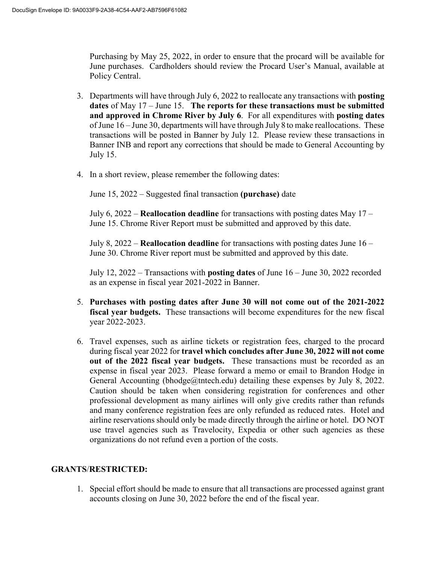Purchasing by May 25, 2022, in order to ensure that the procard will be available for June purchases. Cardholders should review the Procard User's Manual, available at Policy Central.

- 3. Departments will have through July 6, 2022 to reallocate any transactions with **posting dates** of May 17 – June 15. **The reports for these transactions must be submitted and approved in Chrome River by July 6**. For all expenditures with **posting dates**  of June 16 – June 30, departments will have through July 8 to make reallocations. These transactions will be posted in Banner by July 12. Please review these transactions in Banner INB and report any corrections that should be made to General Accounting by July 15.
- 4. In a short review, please remember the following dates:

June 15, 2022 – Suggested final transaction **(purchase)** date

July 6, 2022 – **Reallocation deadline** for transactions with posting dates May 17 – June 15. Chrome River Report must be submitted and approved by this date.

July 8, 2022 – **Reallocation deadline** for transactions with posting dates June 16 – June 30. Chrome River report must be submitted and approved by this date.

July 12, 2022 – Transactions with **posting dates** of June 16 – June 30, 2022 recorded as an expense in fiscal year 2021-2022 in Banner.

- 5. **Purchases with posting dates after June 30 will not come out of the 2021-2022 fiscal year budgets.** These transactions will become expenditures for the new fiscal year 2022-2023.
- 6. Travel expenses, such as airline tickets or registration fees, charged to the procard during fiscal year 2022 for **travel which concludes after June 30, 2022 will not come out of the 2022 fiscal year budgets.** These transactions must be recorded as an expense in fiscal year 2023. Please forward a memo or email to Brandon Hodge in General Accounting (bhodge@tntech.edu) detailing these expenses by July 8, 2022. Caution should be taken when considering registration for conferences and other professional development as many airlines will only give credits rather than refunds and many conference registration fees are only refunded as reduced rates. Hotel and airline reservations should only be made directly through the airline or hotel. DO NOT use travel agencies such as Travelocity, Expedia or other such agencies as these organizations do not refund even a portion of the costs.

## **GRANTS**/**RESTRICTED:**

1. Special effort should be made to ensure that all transactions are processed against grant accounts closing on June 30, 2022 before the end of the fiscal year.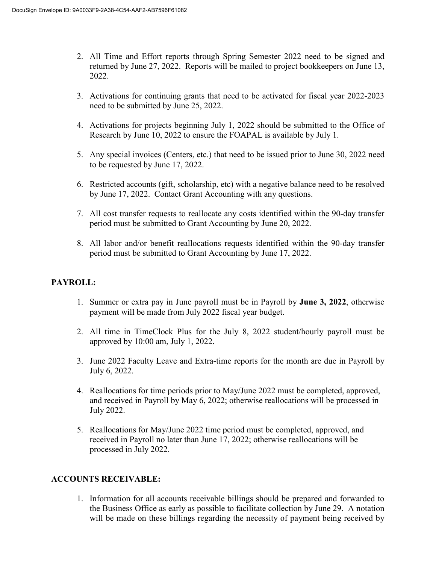- 2. All Time and Effort reports through Spring Semester 2022 need to be signed and returned by June 27, 2022. Reports will be mailed to project bookkeepers on June 13, 2022.
- 3. Activations for continuing grants that need to be activated for fiscal year 2022-2023 need to be submitted by June 25, 2022.
- 4. Activations for projects beginning July 1, 2022 should be submitted to the Office of Research by June 10, 2022 to ensure the FOAPAL is available by July 1.
- 5. Any special invoices (Centers, etc.) that need to be issued prior to June 30, 2022 need to be requested by June 17, 2022.
- 6. Restricted accounts (gift, scholarship, etc) with a negative balance need to be resolved by June 17, 2022. Contact Grant Accounting with any questions.
- 7. All cost transfer requests to reallocate any costs identified within the 90-day transfer period must be submitted to Grant Accounting by June 20, 2022.
- 8. All labor and/or benefit reallocations requests identified within the 90-day transfer period must be submitted to Grant Accounting by June 17, 2022.

### **PAYROLL:**

- 1. Summer or extra pay in June payroll must be in Payroll by **June 3, 2022**, otherwise payment will be made from July 2022 fiscal year budget.
- 2. All time in TimeClock Plus for the July 8, 2022 student/hourly payroll must be approved by 10:00 am, July 1, 2022.
- 3. June 2022 Faculty Leave and Extra-time reports for the month are due in Payroll by July 6, 2022.
- 4. Reallocations for time periods prior to May/June 2022 must be completed, approved, and received in Payroll by May 6, 2022; otherwise reallocations will be processed in July 2022.
- 5. Reallocations for May/June 2022 time period must be completed, approved, and received in Payroll no later than June 17, 2022; otherwise reallocations will be processed in July 2022.

#### **ACCOUNTS RECEIVABLE:**

1. Information for all accounts receivable billings should be prepared and forwarded to the Business Office as early as possible to facilitate collection by June 29. A notation will be made on these billings regarding the necessity of payment being received by